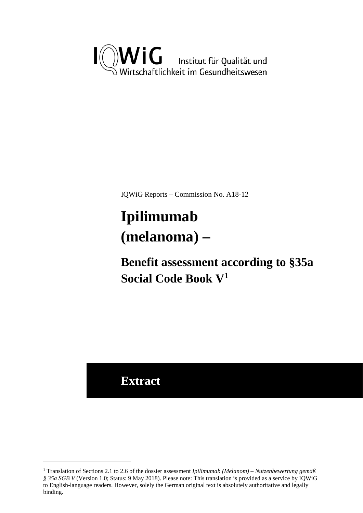

IQWiG Reports – Commission No. A18-12

# <span id="page-0-1"></span>**Ipilimumab (melanoma) –**

**Benefit assessment according to §35a Social Code Book V[1](#page-0-0)**

**Extract**

<u>.</u>

<span id="page-0-0"></span><sup>1</sup> Translation of Sections 2.1 to 2.6 of the dossier assessment *Ipilimumab (Melanom) – Nutzenbewertung gemäß § 35a SGB V* (Version 1.0; Status: 9 May 2018). Please note: This translation is provided as a service by IQWiG to English-language readers. However, solely the German original text is absolutely authoritative and legally binding.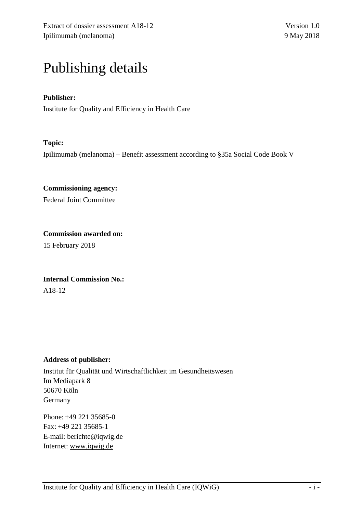# Publishing details

#### **Publisher:**

Institute for Quality and Efficiency in Health Care

#### **Topic:**

Ipilimumab (melanoma) – Benefit assessment according to §35a Social Code Book V

**Commissioning agency:**  Federal Joint Committee

**Commission awarded on:**  15 February 2018

**Internal Commission No.:**  A18-12

#### **Address of publisher:**

Institut für Qualität und Wirtschaftlichkeit im Gesundheitswesen Im Mediapark 8 50670 Köln Germany

Phone: +49 221 35685-0 Fax: +49 221 35685-1 E-mail: [berichte@iqwig.de](mailto:berichte@iqwig.de) Internet: [www.iqwig.de](http://www.iqwig.de/)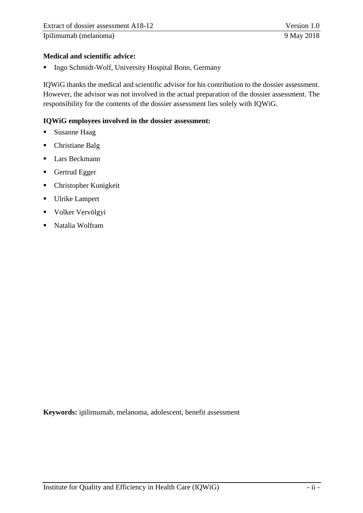Ipilimumab [\(melanoma\)](#page-0-1) 9 May 2018

#### **Medical and scientific advice:**

**Ingo Schmidt-Wolf, University Hospital Bonn, Germany** 

IQWiG thanks the medical and scientific advisor for his contribution to the dossier assessment. However, the advisor was not involved in the actual preparation of the dossier assessment. The responsibility for the contents of the dossier assessment lies solely with IQWiG.

#### **IQWiG employees involved in the dossier assessment:**

- **Susanne Haag**
- Christiane Balg
- **Lars Beckmann**
- Gertrud Egger
- Christopher Kunigkeit
- **Ulrike Lampert**
- **Volker Vervölgyi**
- Natalia Wolfram

**Keywords:** ipilimumab, melanoma, adolescent, benefit assessment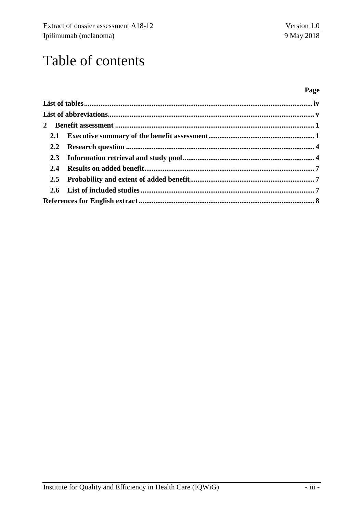Ipilimumab (melanoma)

# Table of contents

#### Page

| 2.4 |  |  |  |
|-----|--|--|--|
|     |  |  |  |
|     |  |  |  |
|     |  |  |  |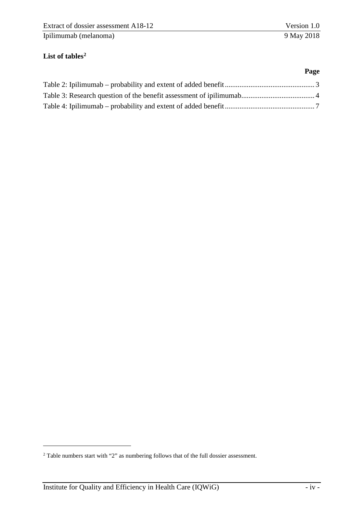**Page** 

## <span id="page-4-0"></span>List of tables<sup>2</sup>

<u>.</u>

<span id="page-4-1"></span><sup>2</sup> Table numbers start with "2" as numbering follows that of the full dossier assessment.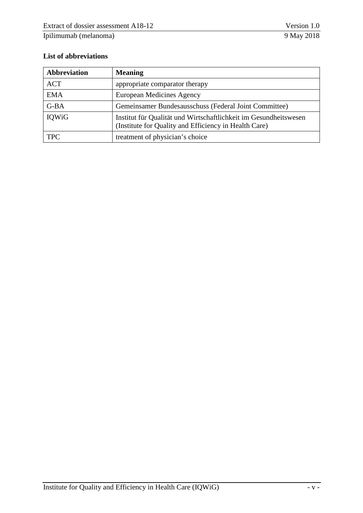### <span id="page-5-0"></span>**List of abbreviations**

| Abbreviation                                                    | <b>Meaning</b>                                                                                                            |  |
|-----------------------------------------------------------------|---------------------------------------------------------------------------------------------------------------------------|--|
| <b>ACT</b>                                                      | appropriate comparator therapy                                                                                            |  |
| <b>EMA</b>                                                      | European Medicines Agency                                                                                                 |  |
| $G-BA$<br>Gemeinsamer Bundesausschuss (Federal Joint Committee) |                                                                                                                           |  |
| IQWiG                                                           | Institut für Qualität und Wirtschaftlichkeit im Gesundheitswesen<br>(Institute for Quality and Efficiency in Health Care) |  |
| <b>TPC</b>                                                      | treatment of physician's choice                                                                                           |  |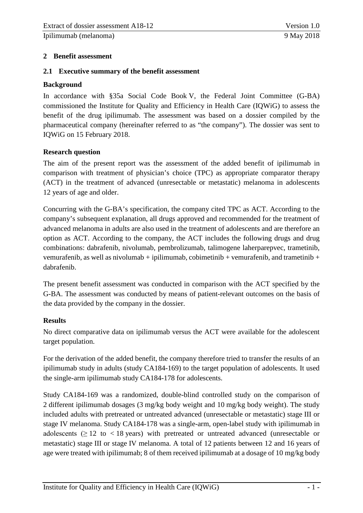Ipilimumab [\(melanoma\)](#page-0-1) 9 May 2018

#### <span id="page-6-0"></span>**2 Benefit assessment**

#### <span id="page-6-1"></span>**2.1 Executive summary of the benefit assessment**

#### **Background**

In accordance with §35a Social Code Book V, the Federal Joint Committee (G-BA) commissioned the Institute for Quality and Efficiency in Health Care (IQWiG) to assess the benefit of the drug ipilimumab. The assessment was based on a dossier compiled by the pharmaceutical company (hereinafter referred to as "the company"). The dossier was sent to IQWiG on 15 February 2018.

#### **Research question**

The aim of the present report was the assessment of the added benefit of ipilimumab in comparison with treatment of physician's choice (TPC) as appropriate comparator therapy (ACT) in the treatment of advanced (unresectable or metastatic) melanoma in adolescents 12 years of age and older.

Concurring with the G-BA's specification, the company cited TPC as ACT. According to the company's subsequent explanation, all drugs approved and recommended for the treatment of advanced melanoma in adults are also used in the treatment of adolescents and are therefore an option as ACT. According to the company, the ACT includes the following drugs and drug combinations: dabrafenib, nivolumab, pembrolizumab, talimogene laherparepvec, trametinib, vemurafenib, as well as nivolumab + ipilimumab, cobimetinib + vemurafenib, and trametinib + dabrafenib.

The present benefit assessment was conducted in comparison with the ACT specified by the G-BA. The assessment was conducted by means of patient-relevant outcomes on the basis of the data provided by the company in the dossier.

#### **Results**

No direct comparative data on ipilimumab versus the ACT were available for the adolescent target population.

For the derivation of the added benefit, the company therefore tried to transfer the results of an ipilimumab study in adults (study CA184-169) to the target population of adolescents. It used the single-arm ipilimumab study CA184-178 for adolescents.

Study CA184-169 was a randomized, double-blind controlled study on the comparison of 2 different ipilimumab dosages (3 mg/kg body weight and 10 mg/kg body weight). The study included adults with pretreated or untreated advanced (unresectable or metastatic) stage III or stage IV melanoma. Study CA184-178 was a single-arm, open-label study with ipilimumab in adolescents ( $\geq$  12 to  $\lt$  18 years) with pretreated or untreated advanced (unresectable or metastatic) stage III or stage IV melanoma. A total of 12 patients between 12 and 16 years of age were treated with ipilimumab; 8 of them received ipilimumab at a dosage of 10 mg/kg body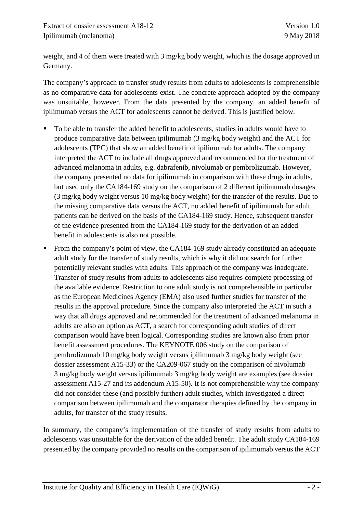weight, and 4 of them were treated with 3 mg/kg body weight, which is the dosage approved in Germany.

The company's approach to transfer study results from adults to adolescents is comprehensible as no comparative data for adolescents exist. The concrete approach adopted by the company was unsuitable, however. From the data presented by the company, an added benefit of ipilimumab versus the ACT for adolescents cannot be derived. This is justified below.

- To be able to transfer the added benefit to adolescents, studies in adults would have to produce comparative data between ipilimumab (3 mg/kg body weight) and the ACT for adolescents (TPC) that show an added benefit of ipilimumab for adults. The company interpreted the ACT to include all drugs approved and recommended for the treatment of advanced melanoma in adults, e.g. dabrafenib, nivolumab or pembrolizumab. However, the company presented no data for ipilimumab in comparison with these drugs in adults, but used only the CA184-169 study on the comparison of 2 different ipilimumab dosages (3 mg/kg body weight versus 10 mg/kg body weight) for the transfer of the results. Due to the missing comparative data versus the ACT, no added benefit of ipilimumab for adult patients can be derived on the basis of the CA184-169 study. Hence, subsequent transfer of the evidence presented from the CA184-169 study for the derivation of an added benefit in adolescents is also not possible.
- From the company's point of view, the CA184-169 study already constituted an adequate adult study for the transfer of study results, which is why it did not search for further potentially relevant studies with adults. This approach of the company was inadequate. Transfer of study results from adults to adolescents also requires complete processing of the available evidence. Restriction to one adult study is not comprehensible in particular as the European Medicines Agency (EMA) also used further studies for transfer of the results in the approval procedure. Since the company also interpreted the ACT in such a way that all drugs approved and recommended for the treatment of advanced melanoma in adults are also an option as ACT, a search for corresponding adult studies of direct comparison would have been logical. Corresponding studies are known also from prior benefit assessment procedures. The KEYNOTE 006 study on the comparison of pembrolizumab 10 mg/kg body weight versus ipilimumab 3 mg/kg body weight (see dossier assessment A15-33) or the CA209-067 study on the comparison of nivolumab 3 mg/kg body weight versus ipilimumab 3 mg/kg body weight are examples (see dossier assessment A15-27 and its addendum A15-50). It is not comprehensible why the company did not consider these (and possibly further) adult studies, which investigated a direct comparison between ipilimumab and the comparator therapies defined by the company in adults, for transfer of the study results.

In summary, the company's implementation of the transfer of study results from adults to adolescents was unsuitable for the derivation of the added benefit. The adult study CA184-169 presented by the company provided no results on the comparison of ipilimumab versus the ACT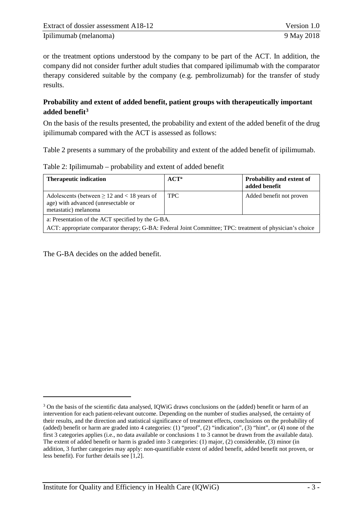or the treatment options understood by the company to be part of the ACT. In addition, the company did not consider further adult studies that compared ipilimumab with the comparator therapy considered suitable by the company (e.g. pembrolizumab) for the transfer of study results.

#### **Probability and extent of added benefit, patient groups with therapeutically important added benefit[3](#page-8-1)**

On the basis of the results presented, the probability and extent of the added benefit of the drug ipilimumab compared with the ACT is assessed as follows:

[Table 2](#page-8-0) presents a summary of the probability and extent of the added benefit of ipilimumab.

<span id="page-8-0"></span>

|  |  | Table 2: Ipilimumab – probability and extent of added benefit |
|--|--|---------------------------------------------------------------|
|--|--|---------------------------------------------------------------|

| <b>Therapeutic indication</b>                                                                                                                                 | $ACT^a$    | Probability and extent of<br>added benefit |  |  |
|---------------------------------------------------------------------------------------------------------------------------------------------------------------|------------|--------------------------------------------|--|--|
| Adolescents (between $\geq 12$ and $< 18$ years of<br>age) with advanced (unresectable or<br>metastatic) melanoma                                             | <b>TPC</b> | Added benefit not proven                   |  |  |
| a: Presentation of the ACT specified by the G-BA.<br>ACT: appropriate comparator therapy; G-BA: Federal Joint Committee; TPC: treatment of physician's choice |            |                                            |  |  |

The G-BA decides on the added benefit.

-

<span id="page-8-1"></span><sup>&</sup>lt;sup>3</sup> On the basis of the scientific data analysed, IQWiG draws conclusions on the (added) benefit or harm of an intervention for each patient-relevant outcome. Depending on the number of studies analysed, the certainty of their results, and the direction and statistical significance of treatment effects, conclusions on the probability of (added) benefit or harm are graded into 4 categories: (1) "proof", (2) "indication", (3) "hint", or (4) none of the first 3 categories applies (i.e., no data available or conclusions 1 to 3 cannot be drawn from the available data). The extent of added benefit or harm is graded into 3 categories: (1) major, (2) considerable, (3) minor (in addition, 3 further categories may apply: non-quantifiable extent of added benefit, added benefit not proven, or less benefit). For further details see [1,2].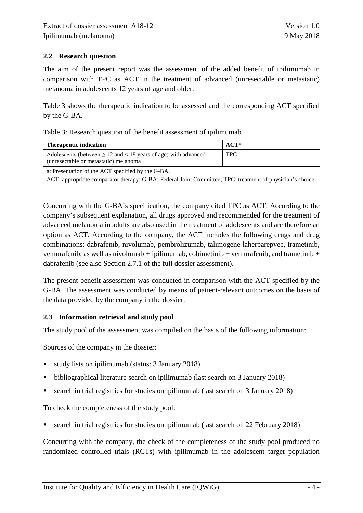## <span id="page-9-0"></span>**2.2 Research question**

The aim of the present report was the assessment of the added benefit of ipilimumab in comparison with TPC as ACT in the treatment of advanced (unresectable or metastatic) melanoma in adolescents 12 years of age and older.

[Table 3](#page-9-2) shows the therapeutic indication to be assessed and the corresponding ACT specified by the G-BA.

<span id="page-9-2"></span>

|  |  |  | Table 3: Research question of the benefit assessment of ipilimumab |
|--|--|--|--------------------------------------------------------------------|
|--|--|--|--------------------------------------------------------------------|

| <b>Therapeutic indication</b>                                                                                  | $ACT^a$    |  |  |
|----------------------------------------------------------------------------------------------------------------|------------|--|--|
| Adolescents (between $\geq 12$ and $< 18$ years of age) with advanced<br>(unresectable or metastatic) melanoma | <b>TPC</b> |  |  |
| a: Presentation of the ACT specified by the G-BA.                                                              |            |  |  |
| ACT: appropriate comparator therapy; G-BA: Federal Joint Committee; TPC: treatment of physician's choice       |            |  |  |

Concurring with the G-BA's specification, the company cited TPC as ACT. According to the company's subsequent explanation, all drugs approved and recommended for the treatment of advanced melanoma in adults are also used in the treatment of adolescents and are therefore an option as ACT. According to the company, the ACT includes the following drugs and drug combinations: dabrafenib, nivolumab, pembrolizumab, talimogene laherparepvec, trametinib, vemurafenib, as well as nivolumab + ipilimumab, cobimetinib + vemurafenib, and trametinib + dabrafenib (see also Section 2.7.1 of the full dossier assessment).

The present benefit assessment was conducted in comparison with the ACT specified by the G-BA. The assessment was conducted by means of patient-relevant outcomes on the basis of the data provided by the company in the dossier.

#### <span id="page-9-1"></span>**2.3 Information retrieval and study pool**

The study pool of the assessment was compiled on the basis of the following information:

Sources of the company in the dossier:

- study lists on ipilimumab (status: 3 January 2018)
- bibliographical literature search on ipilimumab (last search on 3 January 2018)
- search in trial registries for studies on ipilimumab (last search on 3 January 2018)

To check the completeness of the study pool:

search in trial registries for studies on ipilimumab (last search on 22 February 2018)

Concurring with the company, the check of the completeness of the study pool produced no randomized controlled trials (RCTs) with ipilimumab in the adolescent target population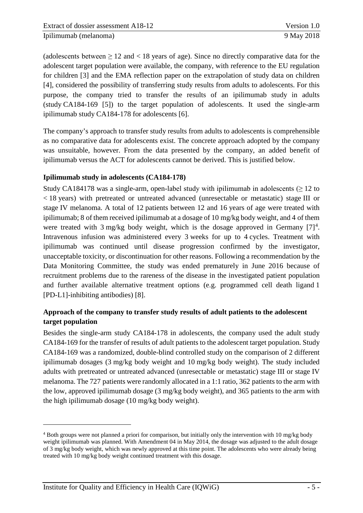(adolescents between  $\geq 12$  and  $\lt 18$  years of age). Since no directly comparative data for the adolescent target population were available, the company, with reference to the EU regulation for children [3] and the EMA reflection paper on the extrapolation of study data on children [4], considered the possibility of transferring study results from adults to adolescents. For this purpose, the company tried to transfer the results of an ipilimumab study in adults (study CA184-169 [5]) to the target population of adolescents. It used the single-arm ipilimumab study CA184-178 for adolescents [6].

The company's approach to transfer study results from adults to adolescents is comprehensible as no comparative data for adolescents exist. The concrete approach adopted by the company was unsuitable, however. From the data presented by the company, an added benefit of ipilimumab versus the ACT for adolescents cannot be derived. This is justified below.

#### **Ipilimumab study in adolescents (CA184-178)**

Study CA184178 was a single-arm, open-label study with ipilimumab in adolescents ( $\geq$  12 to < 18 years) with pretreated or untreated advanced (unresectable or metastatic) stage III or stage IV melanoma. A total of 12 patients between 12 and 16 years of age were treated with ipilimumab; 8 of them received ipilimumab at a dosage of 10 mg/kg body weight, and 4 of them were treated with 3 mg/kg body weight, which is the dosage approved in Germany  $[7]^4$  $[7]^4$ . Intravenous infusion was administered every 3 weeks for up to 4 cycles. Treatment with ipilimumab was continued until disease progression confirmed by the investigator, unacceptable toxicity, or discontinuation for other reasons. Following a recommendation by the Data Monitoring Committee, the study was ended prematurely in June 2016 because of recruitment problems due to the rareness of the disease in the investigated patient population and further available alternative treatment options (e.g. programmed cell death ligand 1 [PD-L1]-inhibiting antibodies) [8].

#### **Approach of the company to transfer study results of adult patients to the adolescent target population**

Besides the single-arm study CA184-178 in adolescents, the company used the adult study CA184-169 for the transfer of results of adult patients to the adolescent target population. Study CA184-169 was a randomized, double-blind controlled study on the comparison of 2 different ipilimumab dosages (3 mg/kg body weight and 10 mg/kg body weight). The study included adults with pretreated or untreated advanced (unresectable or metastatic) stage III or stage IV melanoma. The 727 patients were randomly allocated in a 1:1 ratio, 362 patients to the arm with the low, approved ipilimumab dosage (3 mg/kg body weight), and 365 patients to the arm with the high ipilimumab dosage (10 mg/kg body weight).

<u>.</u>

<span id="page-10-0"></span><sup>4</sup> Both groups were not planned a priori for comparison, but initially only the intervention with 10 mg/kg body weight ipilimumab was planned. With Amendment 04 in May 2014, the dosage was adjusted to the adult dosage of 3 mg/kg body weight, which was newly approved at this time point. The adolescents who were already being treated with 10 mg/kg body weight continued treatment with this dosage.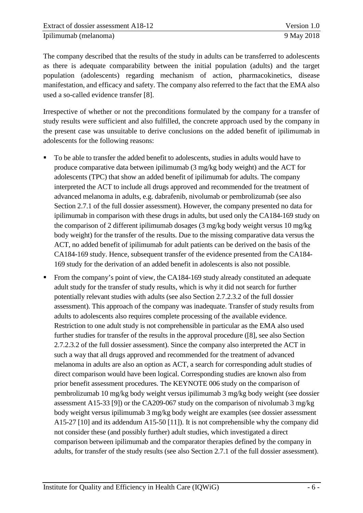The company described that the results of the study in adults can be transferred to adolescents as there is adequate comparability between the initial population (adults) and the target population (adolescents) regarding mechanism of action, pharmacokinetics, disease manifestation, and efficacy and safety. The company also referred to the fact that the EMA also used a so-called evidence transfer [8].

Irrespective of whether or not the preconditions formulated by the company for a transfer of study results were sufficient and also fulfilled, the concrete approach used by the company in the present case was unsuitable to derive conclusions on the added benefit of ipilimumab in adolescents for the following reasons:

- To be able to transfer the added benefit to adolescents, studies in adults would have to produce comparative data between ipilimumab (3 mg/kg body weight) and the ACT for adolescents (TPC) that show an added benefit of ipilimumab for adults. The company interpreted the ACT to include all drugs approved and recommended for the treatment of advanced melanoma in adults, e.g. dabrafenib, nivolumab or pembrolizumab (see also Section 2.7.1 of the full dossier assessment). However, the company presented no data for ipilimumab in comparison with these drugs in adults, but used only the CA184-169 study on the comparison of 2 different ipilimumab dosages (3 mg/kg body weight versus 10 mg/kg body weight) for the transfer of the results. Due to the missing comparative data versus the ACT, no added benefit of ipilimumab for adult patients can be derived on the basis of the CA184-169 study. Hence, subsequent transfer of the evidence presented from the CA184- 169 study for the derivation of an added benefit in adolescents is also not possible.
- From the company's point of view, the CA184-169 study already constituted an adequate adult study for the transfer of study results, which is why it did not search for further potentially relevant studies with adults (see also Section 2.7.2.3.2 of the full dossier assessment). This approach of the company was inadequate. Transfer of study results from adults to adolescents also requires complete processing of the available evidence. Restriction to one adult study is not comprehensible in particular as the EMA also used further studies for transfer of the results in the approval procedure ([8], see also Section 2.7.2.3.2 of the full dossier assessment). Since the company also interpreted the ACT in such a way that all drugs approved and recommended for the treatment of advanced melanoma in adults are also an option as ACT, a search for corresponding adult studies of direct comparison would have been logical. Corresponding studies are known also from prior benefit assessment procedures. The KEYNOTE 006 study on the comparison of pembrolizumab 10 mg/kg body weight versus ipilimumab 3 mg/kg body weight (see dossier assessment A15-33 [9]) or the CA209-067 study on the comparison of nivolumab 3 mg/kg body weight versus ipilimumab 3 mg/kg body weight are examples (see dossier assessment A15-27 [10] and its addendum A15-50 [11]). It is not comprehensible why the company did not consider these (and possibly further) adult studies, which investigated a direct comparison between ipilimumab and the comparator therapies defined by the company in adults, for transfer of the study results (see also Section 2.7.1 of the full dossier assessment).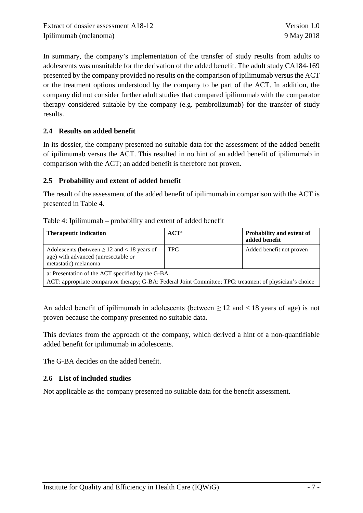In summary, the company's implementation of the transfer of study results from adults to adolescents was unsuitable for the derivation of the added benefit. The adult study CA184-169 presented by the company provided no results on the comparison of ipilimumab versus the ACT or the treatment options understood by the company to be part of the ACT. In addition, the company did not consider further adult studies that compared ipilimumab with the comparator therapy considered suitable by the company (e.g. pembrolizumab) for the transfer of study results.

#### <span id="page-12-0"></span>**2.4 Results on added benefit**

In its dossier, the company presented no suitable data for the assessment of the added benefit of ipilimumab versus the ACT. This resulted in no hint of an added benefit of ipilimumab in comparison with the ACT; an added benefit is therefore not proven.

#### <span id="page-12-1"></span>**2.5 Probability and extent of added benefit**

The result of the assessment of the added benefit of ipilimumab in comparison with the ACT is presented in [Table 4.](#page-12-3)

<span id="page-12-3"></span>

| Table 4: Ipilimumab – probability and extent of added benefit |  |  |
|---------------------------------------------------------------|--|--|
|                                                               |  |  |

| <b>Therapeutic indication</b>                                                                                                                                 | $ACT^a$    | Probability and extent of<br>added benefit |  |
|---------------------------------------------------------------------------------------------------------------------------------------------------------------|------------|--------------------------------------------|--|
| Adolescents (between $\geq 12$ and $< 18$ years of<br>age) with advanced (unresectable or<br>metastatic) melanoma                                             | <b>TPC</b> | Added benefit not proven                   |  |
| a: Presentation of the ACT specified by the G-BA.<br>ACT: appropriate comparator therapy; G-BA: Federal Joint Committee; TPC: treatment of physician's choice |            |                                            |  |

An added benefit of ipilimumab in adolescents (between  $\geq 12$  and  $\lt 18$  years of age) is not proven because the company presented no suitable data.

This deviates from the approach of the company, which derived a hint of a non-quantifiable added benefit for ipilimumab in adolescents.

The G-BA decides on the added benefit.

#### <span id="page-12-2"></span>**2.6 List of included studies**

Not applicable as the company presented no suitable data for the benefit assessment.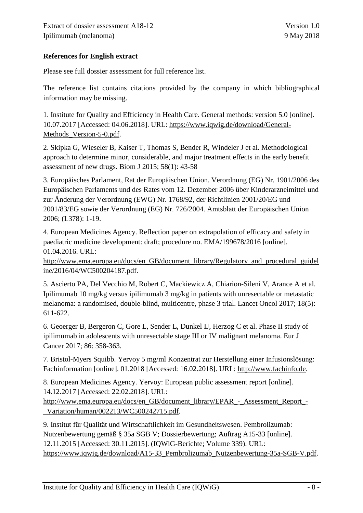Ipilimumab [\(melanoma\)](#page-0-1) 9 May 2018

#### <span id="page-13-0"></span>**References for English extract**

Please see full dossier assessment for full reference list.

The reference list contains citations provided by the company in which bibliographical information may be missing.

1. Institute for Quality and Efficiency in Health Care. General methods: version 5.0 [online]. 10.07.2017 [Accessed: 04.06.2018]. URL: [https://www.iqwig.de/download/General-](https://www.iqwig.de/download/General-Methods_Version-5-0.pdf)[Methods\\_Version-5-0.pdf.](https://www.iqwig.de/download/General-Methods_Version-5-0.pdf)

2. Skipka G, Wieseler B, Kaiser T, Thomas S, Bender R, Windeler J et al. Methodological approach to determine minor, considerable, and major treatment effects in the early benefit assessment of new drugs. Biom J 2015; 58(1): 43-58

3. Europäisches Parlament, Rat der Europäischen Union. Verordnung (EG) Nr. 1901/2006 des Europäischen Parlaments und des Rates vom 12. Dezember 2006 über Kinderarzneimittel und zur Änderung der Verordnung (EWG) Nr. 1768/92, der Richtlinien 2001/20/EG und 2001/83/EG sowie der Verordnung (EG) Nr. 726/2004. Amtsblatt der Europäischen Union 2006; (L378): 1-19.

4. European Medicines Agency. Reflection paper on extrapolation of efficacy and safety in paediatric medicine development: draft; procedure no. EMA/199678/2016 [online]. 01.04.2016. URL:

[http://www.ema.europa.eu/docs/en\\_GB/document\\_library/Regulatory\\_and\\_procedural\\_guidel](http://www.ema.europa.eu/docs/en_GB/document_library/Regulatory_and_procedural_guideline/2016/04/WC500204187.pdf) [ine/2016/04/WC500204187.pdf.](http://www.ema.europa.eu/docs/en_GB/document_library/Regulatory_and_procedural_guideline/2016/04/WC500204187.pdf)

5. Ascierto PA, Del Vecchio M, Robert C, Mackiewicz A, Chiarion-Sileni V, Arance A et al. Ipilimumab 10 mg/kg versus ipilimumab 3 mg/kg in patients with unresectable or metastatic melanoma: a randomised, double-blind, multicentre, phase 3 trial. Lancet Oncol 2017; 18(5): 611-622.

6. Geoerger B, Bergeron C, Gore L, Sender L, Dunkel IJ, Herzog C et al. Phase II study of ipilimumab in adolescents with unresectable stage III or IV malignant melanoma. Eur J Cancer 2017; 86: 358-363.

7. Bristol-Myers Squibb. Yervoy 5 mg/ml Konzentrat zur Herstellung einer Infusionslösung: Fachinformation [online]. 01.2018 [Accessed: 16.02.2018]. URL: [http://www.fachinfo.de.](http://www.fachinfo.de/)

8. European Medicines Agency. Yervoy: European public assessment report [online]. 14.12.2017 [Accessed: 22.02.2018]. URL: [http://www.ema.europa.eu/docs/en\\_GB/document\\_library/EPAR\\_-\\_Assessment\\_Report\\_-](http://www.ema.europa.eu/docs/en_GB/document_library/EPAR_-_Assessment_Report_-_Variation/human/002213/WC500242715.pdf)

[\\_Variation/human/002213/WC500242715.pdf.](http://www.ema.europa.eu/docs/en_GB/document_library/EPAR_-_Assessment_Report_-_Variation/human/002213/WC500242715.pdf)

9. Institut für Qualität und Wirtschaftlichkeit im Gesundheitswesen. Pembrolizumab: Nutzenbewertung gemäß § 35a SGB V; Dossierbewertung; Auftrag A15-33 [online]. 12.11.2015 [Accessed: 30.11.2015]. (IQWiG-Berichte; Volume 339). URL: [https://www.iqwig.de/download/A15-33\\_Pembrolizumab\\_Nutzenbewertung-35a-SGB-V.pdf.](https://www.iqwig.de/download/A15-33_Pembrolizumab_Nutzenbewertung-35a-SGB-V.pdf)